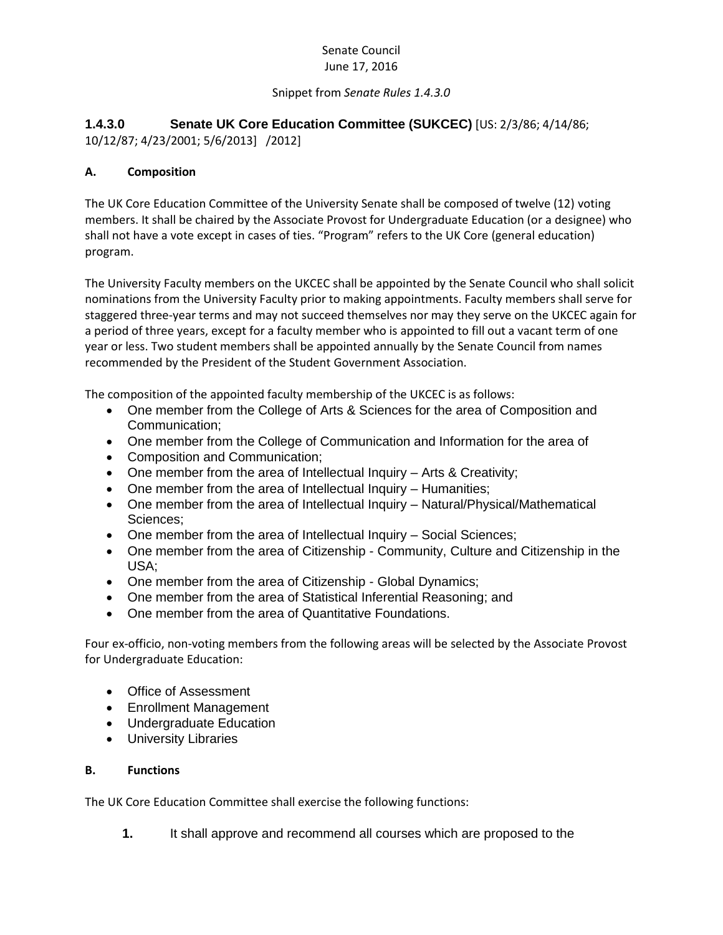## Senate Council June 17, 2016

#### Snippet from *Senate Rules 1.4.3.0*

# **1.4.3.0 Senate UK Core Education Committee (SUKCEC)** [US: 2/3/86; 4/14/86;

10/12/87; 4/23/2001; 5/6/2013] /2012]

## **A. Composition**

The UK Core Education Committee of the University Senate shall be composed of twelve (12) voting members. It shall be chaired by the Associate Provost for Undergraduate Education (or a designee) who shall not have a vote except in cases of ties. "Program" refers to the UK Core (general education) program.

The University Faculty members on the UKCEC shall be appointed by the Senate Council who shall solicit nominations from the University Faculty prior to making appointments. Faculty members shall serve for staggered three-year terms and may not succeed themselves nor may they serve on the UKCEC again for a period of three years, except for a faculty member who is appointed to fill out a vacant term of one year or less. Two student members shall be appointed annually by the Senate Council from names recommended by the President of the Student Government Association.

The composition of the appointed faculty membership of the UKCEC is as follows:

- One member from the College of Arts & Sciences for the area of Composition and Communication;
- One member from the College of Communication and Information for the area of
- Composition and Communication;
- One member from the area of Intellectual Inquiry Arts & Creativity;
- One member from the area of Intellectual Inquiry Humanities;
- One member from the area of Intellectual Inquiry Natural/Physical/Mathematical Sciences;
- One member from the area of Intellectual Inquiry Social Sciences;
- One member from the area of Citizenship Community, Culture and Citizenship in the USA;
- One member from the area of Citizenship Global Dynamics;
- One member from the area of Statistical Inferential Reasoning; and
- One member from the area of Quantitative Foundations.

Four ex-officio, non-voting members from the following areas will be selected by the Associate Provost for Undergraduate Education:

- Office of Assessment
- Enrollment Management
- Undergraduate Education
- University Libraries

### **B. Functions**

The UK Core Education Committee shall exercise the following functions:

**1.** It shall approve and recommend all courses which are proposed to the